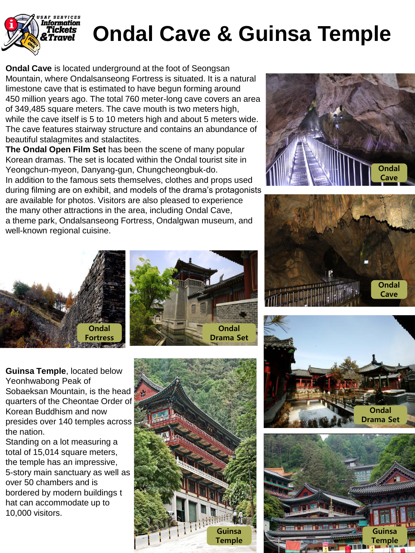

## **Ondal Cave & Guinsa Temple**

**Ondal Cave** is located underground at the foot of Seongsan Mountain, where Ondalsanseong Fortress is situated. It is a natural limestone cave that is estimated to have begun forming around 450 million years ago. The total 760 meter-long cave covers an area of 349,485 square meters. The cave mouth is two meters high, while the cave itself is 5 to 10 meters high and about 5 meters wide. The cave features stairway structure and contains an abundance of beautiful stalagmites and stalactites.

**The Ondal Open Film Set** has been the scene of many popular Korean dramas. The set is located within the Ondal tourist site in Yeongchun-myeon, Danyang-gun, Chungcheongbuk-do. In addition to the famous sets themselves, clothes and props used during filming are on exhibit, and models of the drama's protagonists are available for photos. Visitors are also pleased to experience the many other attractions in the area, including Ondal Cave, a theme park, Ondalsanseong Fortress, Ondalgwan museum, and well-known regional cuisine.















Standing on a lot measuring a total of 15,014 square meters, the temple has an impressive, 5-story main sanctuary as well as over 50 chambers and is bordered by modern buildings t hat can accommodate up to 10,000 visitors.